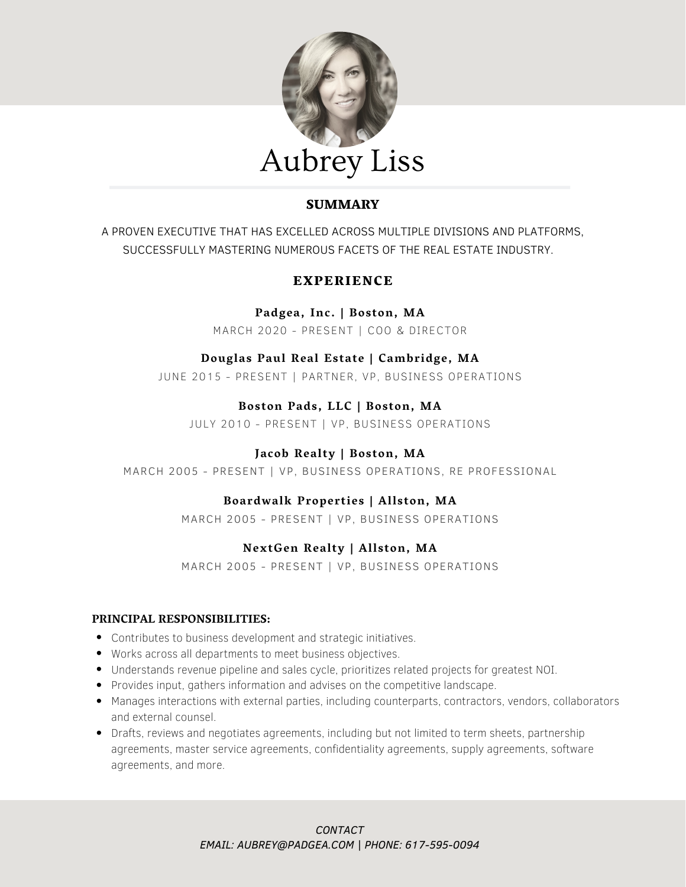

# **SUMMARY**

A PROVEN EXECUTIVE THAT HAS EXCELLED ACROSS MULTIPLE DIVISIONS AND PLATFORMS, SUCCESSFULLY MASTERING NUMEROUS FACETS OF THE REAL ESTATE INDUSTRY.

# EXPERIENCE

**Padgea, Inc. | Boston, MA**

MARCH 2020 - PRESENT | COO & DIRECTOR

## **Douglas Paul Real Estate | Cambridge, MA**

JUNE 2015 - PRESENT | PARTNER, VP, BUSINESS OPERATIONS

# **Boston Pads, LLC | Boston, MA**

JULY 2010 - PRESENT | VP, BUSINESS OPERATIONS

## **Jacob Realty | Boston, MA**

MARCH 2005 - PRESENT | VP, BUSINESS OPERATIONS, RE PROFESSIONAL

## **Boardwalk Properties | Allston, MA**

MARCH 2005 - PRESENT | VP, BUSINESS OPERATIONS

# **NextGen Realty | Allston, MA**

MARCH 2005 - PRESENT | VP, BUSINESS OPERATIONS

### **PRINCIPAL RESPONSIBILITIES:**

- Contributes to business development and strategic initiatives.
- Works across all departments to meet business objectives.
- Understands revenue pipeline and sales cycle, prioritizes related projects for greatest NOI.
- Provides input, gathers information and advises on the competitive landscape.
- Manages interactions with external parties, including counterparts, contractors, vendors, collaborators and external counsel.
- Drafts, reviews and negotiates agreements, including but not limited to term sheets, partnership agreements, master service agreements, confidentiality agreements, supply agreements, software agreements, and more.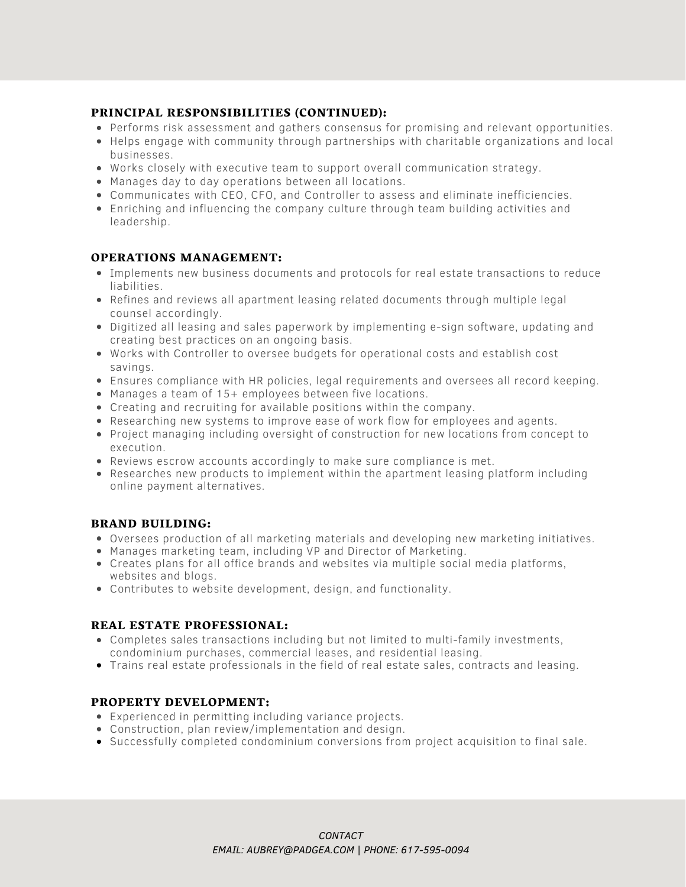#### PRINCIPAL RESPONSIBILITIES (CONTINUED):

- Performs risk assessment and gathers consensus for promising and relevant opportunities.
- Helps engage with community through partnerships with charitable organizations and local businesses.
- Works closely with executive team to support overall communication strategy.
- Manages day to day operations between all locations.
- Communicates with CEO, CFO, and Controller to assess and eliminate inefficiencies.
- Enriching and influencing the company culture through team building activities and leadership.

#### OPERATIONS MANAGEMENT:

- Implements new business documents and protocols for real estate transactions to reduce liabilities.
- Refines and reviews all apartment leasing related documents through multiple legal counsel accordingly.
- Digitized all leasing and sales paperwork by implementing e-sign software, updating and creating best practices on an ongoing basis.
- Works with Controller to oversee budgets for operational costs and establish cost savings.
- Ensures compliance with HR policies, legal requirements and oversees all record keeping.
- Manages a team of 15+ employees between five locations.
- Creating and recruiting for available positions within the company.
- Researching new systems to improve ease of work flow for employees and agents.
- Project managing including oversight of construction for new locations from concept to execution.
- Reviews escrow accounts accordingly to make sure compliance is met.
- Researches new products to implement within the apartment leasing platform including online payment alternatives.

#### BRAND BUILDING:

- Oversees production of all marketing materials and developing new marketing initiatives.
- Manages marketing team, including VP and Director of Marketing.
- Creates plans for all office brands and websites via multiple social media platforms, websites and blogs.
- Contributes to website development, design, and functionality.

#### REAL ESTATE PROFESSIONAL:

- Completes sales transactions including but not limited to multi-family investments, condominium purchases, commercial leases, and residential leasing.
- Trains real estate professionals in the field of real estate sales, contracts and leasing.

#### PROPERTY DEVELOPMENT:

- Experienced in permitting including variance projects.
- Construction, plan review/implementation and design.
- Successfully completed condominium conversions from project acquisition to final sale.